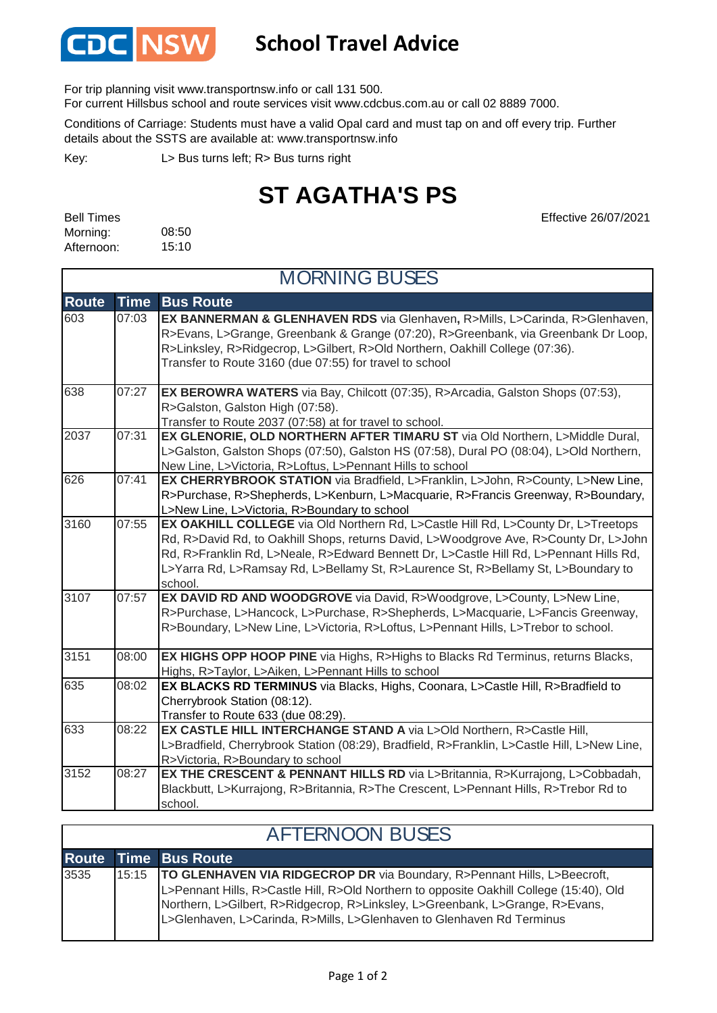

## **School Travel Advice**

For trip planning visit www.transportnsw.info or call 131 500.

For current Hillsbus school and route services visit www.cdcbus.com.au or call 02 8889 7000.

Conditions of Carriage: Students must have a valid Opal card and must tap on and off every trip. Further details about the SSTS are available at: www.transportnsw.info

L> Bus turns left; R> Bus turns right Key:

## **ST AGATHA'S PS**

Effective 26/07/2021

| <b>Bell Times</b> |       |
|-------------------|-------|
| Morning:          | 08:50 |
| Afternoon:        | 15:10 |

 $\mathbf{r}$ 

| <b>MORNING BUSES</b> |             |                                                                                                                                                                                                                                                                                                                                                                      |  |
|----------------------|-------------|----------------------------------------------------------------------------------------------------------------------------------------------------------------------------------------------------------------------------------------------------------------------------------------------------------------------------------------------------------------------|--|
| <b>Route</b>         | <b>Time</b> | <b>Bus Route</b>                                                                                                                                                                                                                                                                                                                                                     |  |
| 603                  | 07:03       | EX BANNERMAN & GLENHAVEN RDS via Glenhaven, R>Mills, L>Carinda, R>Glenhaven,<br>R>Evans, L>Grange, Greenbank & Grange (07:20), R>Greenbank, via Greenbank Dr Loop,<br>R>Linksley, R>Ridgecrop, L>Gilbert, R>Old Northern, Oakhill College (07:36).<br>Transfer to Route 3160 (due 07:55) for travel to school                                                        |  |
| 638                  | 07:27       | EX BEROWRA WATERS via Bay, Chilcott (07:35), R>Arcadia, Galston Shops (07:53),<br>R>Galston, Galston High (07:58).<br>Transfer to Route 2037 (07:58) at for travel to school.                                                                                                                                                                                        |  |
| 2037                 | 07:31       | EX GLENORIE, OLD NORTHERN AFTER TIMARU ST via Old Northern, L>Middle Dural,<br>L>Galston, Galston Shops (07:50), Galston HS (07:58), Dural PO (08:04), L>Old Northern,<br>New Line, L>Victoria, R>Loftus, L>Pennant Hills to school                                                                                                                                  |  |
| 626                  | 07:41       | EX CHERRYBROOK STATION via Bradfield, L>Franklin, L>John, R>County, L>New Line,<br>R>Purchase, R>Shepherds, L>Kenburn, L>Macquarie, R>Francis Greenway, R>Boundary,<br>L>New Line, L>Victoria, R>Boundary to school                                                                                                                                                  |  |
| 3160                 | 07:55       | EX OAKHILL COLLEGE via Old Northern Rd, L>Castle Hill Rd, L>County Dr, L>Treetops<br>Rd, R>David Rd, to Oakhill Shops, returns David, L>Woodgrove Ave, R>County Dr, L>John<br>Rd, R>Franklin Rd, L>Neale, R>Edward Bennett Dr, L>Castle Hill Rd, L>Pennant Hills Rd,<br>L>Yarra Rd, L>Ramsay Rd, L>Bellamy St, R>Laurence St, R>Bellamy St, L>Boundary to<br>school. |  |
| 3107                 | 07:57       | EX DAVID RD AND WOODGROVE via David, R>Woodgrove, L>County, L>New Line,<br>R>Purchase, L>Hancock, L>Purchase, R>Shepherds, L>Macquarie, L>Fancis Greenway,<br>R>Boundary, L>New Line, L>Victoria, R>Loftus, L>Pennant Hills, L>Trebor to school.                                                                                                                     |  |
| 3151                 | 08:00       | EX HIGHS OPP HOOP PINE via Highs, R>Highs to Blacks Rd Terminus, returns Blacks,<br>Highs, R>Taylor, L>Aiken, L>Pennant Hills to school                                                                                                                                                                                                                              |  |
| 635                  | 08:02       | EX BLACKS RD TERMINUS via Blacks, Highs, Coonara, L>Castle Hill, R>Bradfield to<br>Cherrybrook Station (08:12).<br>Transfer to Route 633 (due 08:29).                                                                                                                                                                                                                |  |
| 633                  | 08:22       | EX CASTLE HILL INTERCHANGE STAND A via L>Old Northern, R>Castle Hill,<br>L>Bradfield, Cherrybrook Station (08:29), Bradfield, R>Franklin, L>Castle Hill, L>New Line,<br>R>Victoria, R>Boundary to school                                                                                                                                                             |  |
| 3152                 | 08:27       | EX THE CRESCENT & PENNANT HILLS RD via L>Britannia, R>Kurrajong, L>Cobbadah,<br>Blackbutt, L>Kurrajong, R>Britannia, R>The Crescent, L>Pennant Hills, R>Trebor Rd to<br>school.                                                                                                                                                                                      |  |

| <b>AFTERNOON BUSES</b> |  |                                                                                                                                                                                                                                                                                                                                       |  |  |
|------------------------|--|---------------------------------------------------------------------------------------------------------------------------------------------------------------------------------------------------------------------------------------------------------------------------------------------------------------------------------------|--|--|
|                        |  | <b>Route Time Bus Route</b>                                                                                                                                                                                                                                                                                                           |  |  |
| 3535                   |  | 15:15   TO GLENHAVEN VIA RIDGECROP DR via Boundary, R>Pennant Hills, L>Beecroft,<br>L>Pennant Hills, R>Castle Hill, R>Old Northern to opposite Oakhill College (15:40), Old<br>Northern, L>Gilbert, R>Ridgecrop, R>Linksley, L>Greenbank, L>Grange, R>Evans,<br>L>Glenhaven, L>Carinda, R>Mills, L>Glenhaven to Glenhaven Rd Terminus |  |  |